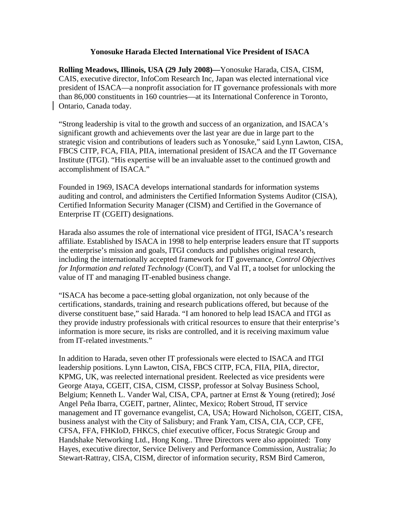## **Yonosuke Harada Elected International Vice President of ISACA**

**Rolling Meadows, Illinois, USA (29 July 2008)—**Yonosuke Harada, CISA, CISM, CAIS, executive director, InfoCom Research Inc, Japan was elected international vice president of ISACA—a nonprofit association for IT governance professionals with more than 86,000 constituents in 160 countries—at its International Conference in Toronto, Ontario, Canada today.

"Strong leadership is vital to the growth and success of an organization, and ISACA's significant growth and achievements over the last year are due in large part to the strategic vision and contributions of leaders such as Yonosuke," said Lynn Lawton, CISA, FBCS CITP, FCA, FIIA, PIIA, international president of ISACA and the IT Governance Institute (ITGI). "His expertise will be an invaluable asset to the continued growth and accomplishment of ISACA."

Founded in 1969, ISACA develops international standards for information systems auditing and control, and administers the Certified Information Systems Auditor (CISA), Certified Information Security Manager (CISM) and Certified in the Governance of Enterprise IT (CGEIT) designations.

Harada also assumes the role of international vice president of ITGI, ISACA's research affiliate. Established by ISACA in 1998 to help enterprise leaders ensure that IT supports the enterprise's mission and goals, ITGI conducts and publishes original research, including the internationally accepted framework for IT governance, *Control Objectives for Information and related Technology* (COBIT), and Val IT, a toolset for unlocking the value of IT and managing IT-enabled business change.

"ISACA has become a pace-setting global organization, not only because of the certifications, standards, training and research publications offered, but because of the diverse constituent base," said Harada. "I am honored to help lead ISACA and ITGI as they provide industry professionals with critical resources to ensure that their enterprise's information is more secure, its risks are controlled, and it is receiving maximum value from IT-related investments."

In addition to Harada, seven other IT professionals were elected to ISACA and ITGI leadership positions. Lynn Lawton, CISA, FBCS CITP, FCA, FIIA, PIIA, director, KPMG, UK, was reelected international president. Reelected as vice presidents were George Ataya, CGEIT, CISA, CISM, CISSP, professor at Solvay Business School, Belgium; Kenneth L. Vander Wal, CISA, CPA, partner at Ernst & Young (retired); José Angel Peña Ibarra, CGEIT, partner, Alintec, Mexico; Robert Stroud, IT service management and IT governance evangelist, CA, USA; Howard Nicholson, CGEIT, CISA, business analyst with the City of Salisbury; and Frank Yam, CISA, CIA, CCP, CFE, CFSA, FFA, FHKIoD, FHKCS, chief executive officer, Focus Strategic Group and Handshake Networking Ltd., Hong Kong.. Three Directors were also appointed: Tony Hayes, executive director, Service Delivery and Performance Commission, Australia; Jo Stewart-Rattray, CISA, CISM, director of information security, RSM Bird Cameron,